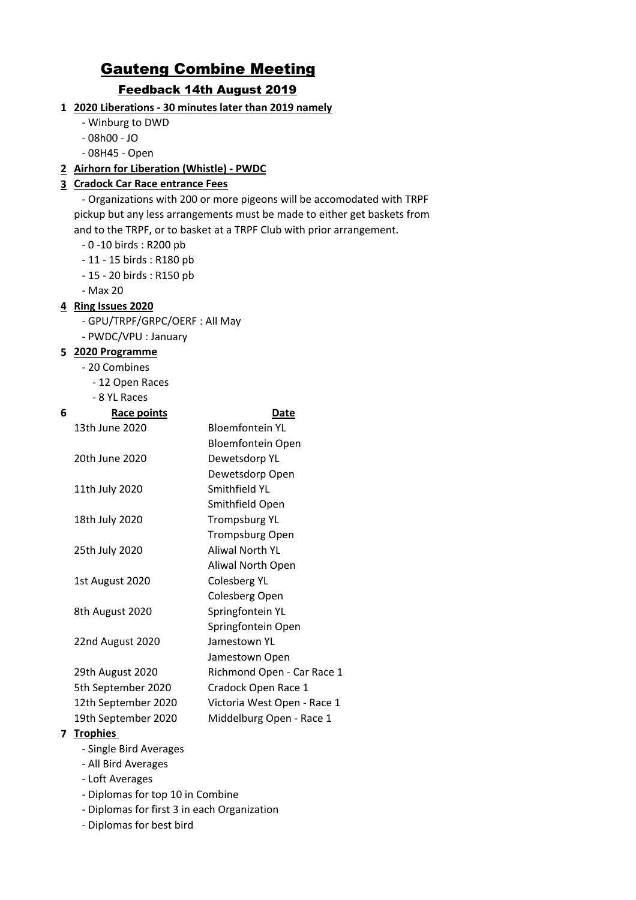# Gauteng Combine Meeting

## Feedback 14th August 2019

- **1 2020 Liberations 30 minutes later than 2019 namely**
	- Winburg to DWD
	- 08h00 JO
	- 08H45 Open

### **2 Airhorn for Liberation (Whistle) - PWDC**

### **3 Cradock Car Race entrance Fees**

 - Organizations with 200 or more pigeons will be accomodated with TRPF pickup but any less arrangements must be made to either get baskets from and to the TRPF, or to basket at a TRPF Club with prior arrangement.

- 0 -10 birds : R200 pb
- 11 15 birds : R180 pb
- 15 20 birds : R150 pb
- Max 20

### **4 Ring Issues 2020**

- GPU/TRPF/GRPC/OERF : All May
- PWDC/VPU : January

### **5 2020 Programme**

- 20 Combines
	- 12 Open Races

- 8 YL Races

| 6 | Race points         | Date                        |
|---|---------------------|-----------------------------|
|   | 13th June 2020      | <b>Bloemfontein YL</b>      |
|   |                     | <b>Bloemfontein Open</b>    |
|   | 20th June 2020      | Dewetsdorp YL               |
|   |                     | Dewetsdorp Open             |
|   | 11th July 2020      | Smithfield YL               |
|   |                     | Smithfield Open             |
|   | 18th July 2020      | <b>Trompsburg YL</b>        |
|   |                     | <b>Trompsburg Open</b>      |
|   | 25th July 2020      | Aliwal North YL             |
|   |                     | Aliwal North Open           |
|   | 1st August 2020     | <b>Colesberg YL</b>         |
|   |                     | Colesberg Open              |
|   | 8th August 2020     | Springfontein YL            |
|   |                     | Springfontein Open          |
|   | 22nd August 2020    | Jamestown YL                |
|   |                     | Jamestown Open              |
|   | 29th August 2020    | Richmond Open - Car Race 1  |
|   | 5th September 2020  | Cradock Open Race 1         |
|   | 12th September 2020 | Victoria West Open - Race 1 |
|   | 19th September 2020 | Middelburg Open - Race 1    |
| 7 | <b>Trophies</b>     |                             |

- Single Bird Averages
- All Bird Averages
- Loft Averages
- Diplomas for top 10 in Combine
- Diplomas for first 3 in each Organization
- Diplomas for best bird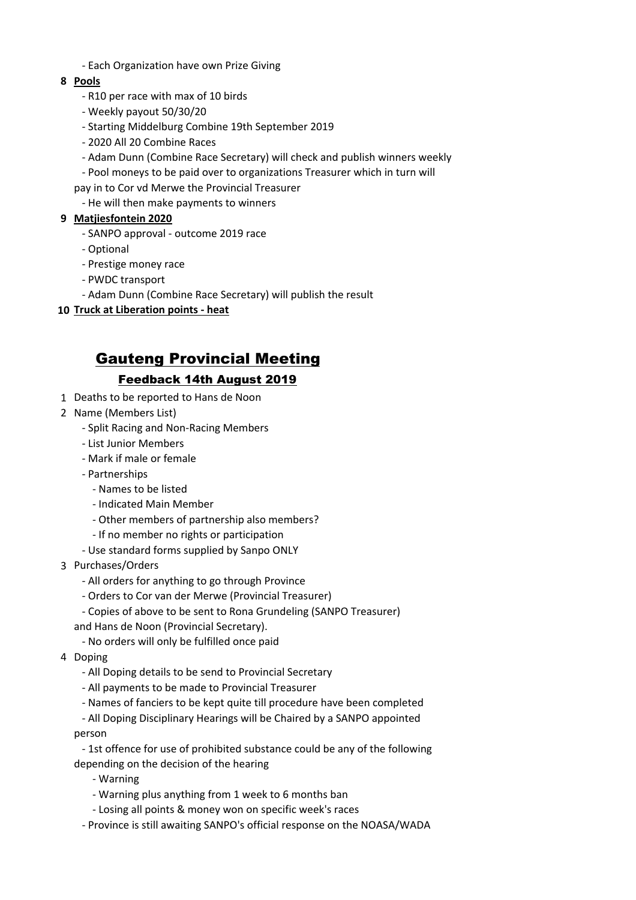- Each Organization have own Prize Giving

### **8 Pools**

- R10 per race with max of 10 birds
- Weekly payout 50/30/20
- Starting Middelburg Combine 19th September 2019
- 2020 All 20 Combine Races
- Adam Dunn (Combine Race Secretary) will check and publish winners weekly
- Pool moneys to be paid over to organizations Treasurer which in turn will
- pay in to Cor vd Merwe the Provincial Treasurer
- He will then make payments to winners

### **9 Matjiesfontein 2020**

- SANPO approval outcome 2019 race
- Optional
- Prestige money race
- PWDC transport
- Adam Dunn (Combine Race Secretary) will publish the result
- **10 Truck at Liberation points heat**

# Gauteng Provincial Meeting

## Feedback 14th August 2019

- 1 Deaths to be reported to Hans de Noon
- 2 Name (Members List)
	- Split Racing and Non-Racing Members
	- List Junior Members
	- Mark if male or female
	- Partnerships
		- Names to be listed
		- Indicated Main Member
		- Other members of partnership also members?
		- If no member no rights or participation
	- Use standard forms supplied by Sanpo ONLY
- 3 Purchases/Orders
	- All orders for anything to go through Province
	- Orders to Cor van der Merwe (Provincial Treasurer)
	- Copies of above to be sent to Rona Grundeling (SANPO Treasurer)
	- and Hans de Noon (Provincial Secretary).
		- No orders will only be fulfilled once paid
- 4 Doping
	- All Doping details to be send to Provincial Secretary
	- All payments to be made to Provincial Treasurer
	- Names of fanciers to be kept quite till procedure have been completed

 - All Doping Disciplinary Hearings will be Chaired by a SANPO appointed person

 - 1st offence for use of prohibited substance could be any of the following depending on the decision of the hearing

- Warning
- Warning plus anything from 1 week to 6 months ban
- Losing all points & money won on specific week's races
- Province is still awaiting SANPO's official response on the NOASA/WADA